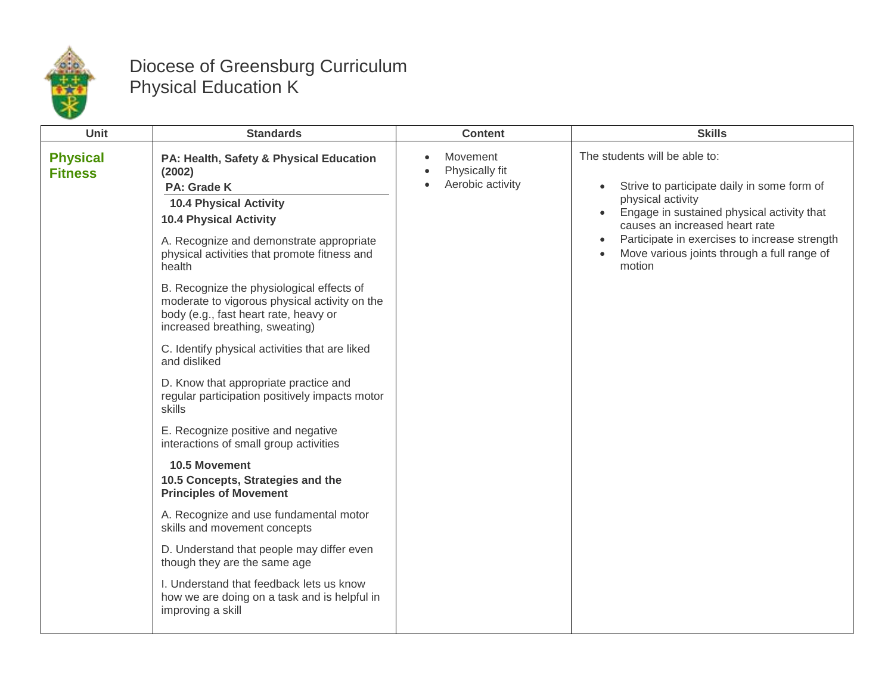

## Diocese of Greensburg Curriculum Physical Education K

| The students will be able to:<br><b>Physical</b><br>Movement<br>PA: Health, Safety & Physical Education<br>Physically fit<br>(2002)<br><b>Fitness</b><br>$\bullet$<br>Aerobic activity<br>$\bullet$<br>Strive to participate daily in some form of<br>PA: Grade K<br>$\bullet$<br>physical activity<br><b>10.4 Physical Activity</b><br>Engage in sustained physical activity that<br><b>10.4 Physical Activity</b><br>causes an increased heart rate<br>Participate in exercises to increase strength<br>A. Recognize and demonstrate appropriate<br>$\bullet$<br>Move various joints through a full range of<br>physical activities that promote fitness and<br>motion<br>health<br>B. Recognize the physiological effects of                |  |
|------------------------------------------------------------------------------------------------------------------------------------------------------------------------------------------------------------------------------------------------------------------------------------------------------------------------------------------------------------------------------------------------------------------------------------------------------------------------------------------------------------------------------------------------------------------------------------------------------------------------------------------------------------------------------------------------------------------------------------------------|--|
| moderate to vigorous physical activity on the<br>body (e.g., fast heart rate, heavy or<br>increased breathing, sweating)<br>C. Identify physical activities that are liked<br>and disliked<br>D. Know that appropriate practice and<br>regular participation positively impacts motor<br>skills<br>E. Recognize positive and negative<br>interactions of small group activities<br>10.5 Movement<br>10.5 Concepts, Strategies and the<br><b>Principles of Movement</b><br>A. Recognize and use fundamental motor<br>skills and movement concepts<br>D. Understand that people may differ even<br>though they are the same age<br>I. Understand that feedback lets us know<br>how we are doing on a task and is helpful in<br>improving a skill |  |
|                                                                                                                                                                                                                                                                                                                                                                                                                                                                                                                                                                                                                                                                                                                                                |  |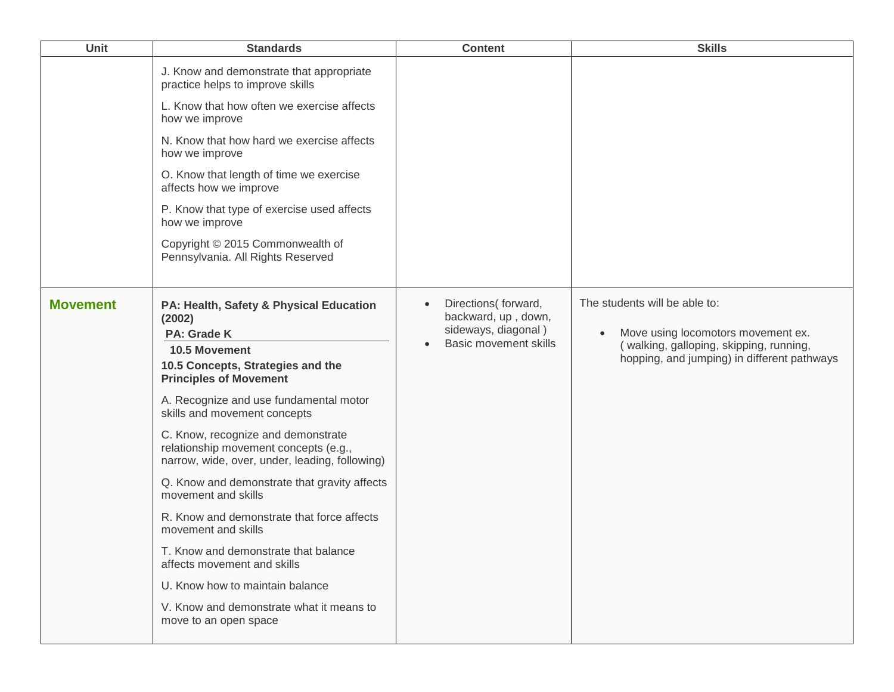| <b>Unit</b>     | <b>Standards</b>                                                                                                                                                      | <b>Content</b>                                                                                    | <b>Skills</b>                                                                                                                                                 |
|-----------------|-----------------------------------------------------------------------------------------------------------------------------------------------------------------------|---------------------------------------------------------------------------------------------------|---------------------------------------------------------------------------------------------------------------------------------------------------------------|
|                 | J. Know and demonstrate that appropriate<br>practice helps to improve skills                                                                                          |                                                                                                   |                                                                                                                                                               |
|                 | L. Know that how often we exercise affects<br>how we improve                                                                                                          |                                                                                                   |                                                                                                                                                               |
|                 | N. Know that how hard we exercise affects<br>how we improve                                                                                                           |                                                                                                   |                                                                                                                                                               |
|                 | O. Know that length of time we exercise<br>affects how we improve                                                                                                     |                                                                                                   |                                                                                                                                                               |
|                 | P. Know that type of exercise used affects<br>how we improve                                                                                                          |                                                                                                   |                                                                                                                                                               |
|                 | Copyright © 2015 Commonwealth of<br>Pennsylvania. All Rights Reserved                                                                                                 |                                                                                                   |                                                                                                                                                               |
| <b>Movement</b> | PA: Health, Safety & Physical Education<br>(2002)<br><b>PA: Grade K</b><br><b>10.5 Movement</b><br>10.5 Concepts, Strategies and the<br><b>Principles of Movement</b> | Directions(forward,<br>backward, up, down,<br>sideways, diagonal)<br><b>Basic movement skills</b> | The students will be able to:<br>Move using locomotors movement ex.<br>(walking, galloping, skipping, running,<br>hopping, and jumping) in different pathways |
|                 | A. Recognize and use fundamental motor<br>skills and movement concepts                                                                                                |                                                                                                   |                                                                                                                                                               |
|                 | C. Know, recognize and demonstrate<br>relationship movement concepts (e.g.,<br>narrow, wide, over, under, leading, following)                                         |                                                                                                   |                                                                                                                                                               |
|                 | Q. Know and demonstrate that gravity affects<br>movement and skills                                                                                                   |                                                                                                   |                                                                                                                                                               |
|                 | R. Know and demonstrate that force affects<br>movement and skills                                                                                                     |                                                                                                   |                                                                                                                                                               |
|                 | T. Know and demonstrate that balance<br>affects movement and skills                                                                                                   |                                                                                                   |                                                                                                                                                               |
|                 | U. Know how to maintain balance                                                                                                                                       |                                                                                                   |                                                                                                                                                               |
|                 | V. Know and demonstrate what it means to<br>move to an open space                                                                                                     |                                                                                                   |                                                                                                                                                               |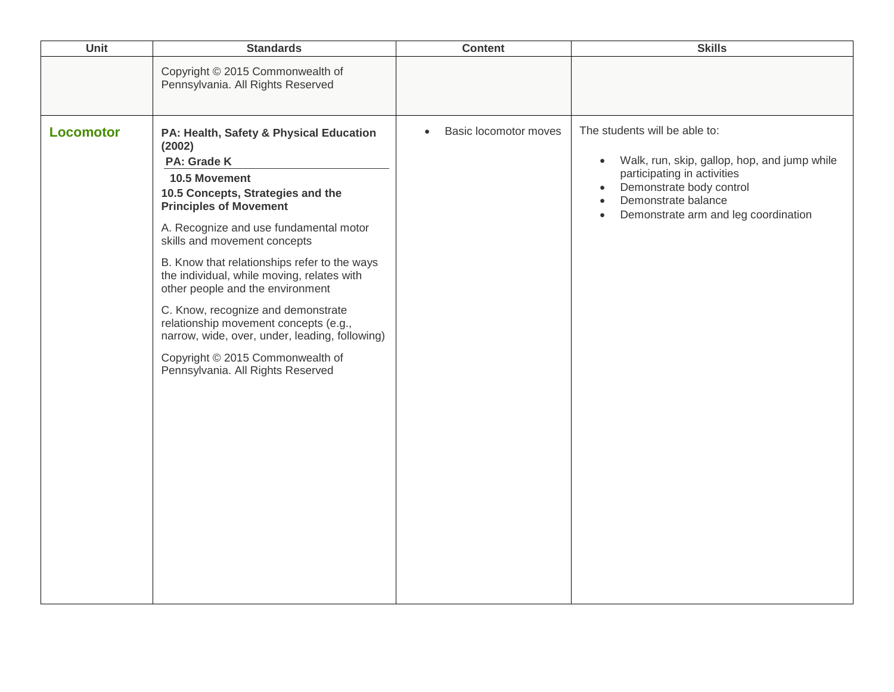| Unit             | <b>Standards</b>                                                                                                                                                                                                                                                                                                                                                                                                                                                                                                                                                              | <b>Content</b>                     | <b>Skills</b>                                                                                                                                                                                                                                               |
|------------------|-------------------------------------------------------------------------------------------------------------------------------------------------------------------------------------------------------------------------------------------------------------------------------------------------------------------------------------------------------------------------------------------------------------------------------------------------------------------------------------------------------------------------------------------------------------------------------|------------------------------------|-------------------------------------------------------------------------------------------------------------------------------------------------------------------------------------------------------------------------------------------------------------|
|                  | Copyright © 2015 Commonwealth of<br>Pennsylvania. All Rights Reserved                                                                                                                                                                                                                                                                                                                                                                                                                                                                                                         |                                    |                                                                                                                                                                                                                                                             |
| <b>Locomotor</b> | PA: Health, Safety & Physical Education<br>(2002)<br>PA: Grade K<br>10.5 Movement<br>10.5 Concepts, Strategies and the<br><b>Principles of Movement</b><br>A. Recognize and use fundamental motor<br>skills and movement concepts<br>B. Know that relationships refer to the ways<br>the individual, while moving, relates with<br>other people and the environment<br>C. Know, recognize and demonstrate<br>relationship movement concepts (e.g.,<br>narrow, wide, over, under, leading, following)<br>Copyright © 2015 Commonwealth of<br>Pennsylvania. All Rights Reserved | Basic locomotor moves<br>$\bullet$ | The students will be able to:<br>Walk, run, skip, gallop, hop, and jump while<br>$\bullet$<br>participating in activities<br>Demonstrate body control<br>$\bullet$<br>Demonstrate balance<br>$\bullet$<br>Demonstrate arm and leg coordination<br>$\bullet$ |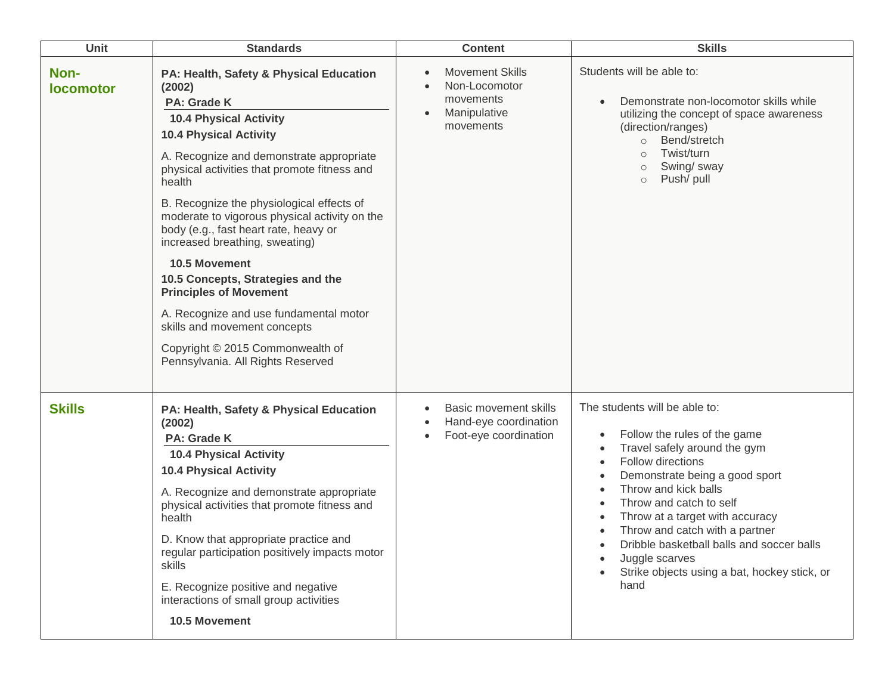| <b>Unit</b>              | <b>Standards</b>                                                                                                                                                                                                                                                                                                                                                                                                                                                                                                                                                                                                                                                   | <b>Content</b>                                                                                                        | <b>Skills</b>                                                                                                                                                                                                                                                                                                                                                                                            |
|--------------------------|--------------------------------------------------------------------------------------------------------------------------------------------------------------------------------------------------------------------------------------------------------------------------------------------------------------------------------------------------------------------------------------------------------------------------------------------------------------------------------------------------------------------------------------------------------------------------------------------------------------------------------------------------------------------|-----------------------------------------------------------------------------------------------------------------------|----------------------------------------------------------------------------------------------------------------------------------------------------------------------------------------------------------------------------------------------------------------------------------------------------------------------------------------------------------------------------------------------------------|
| Non-<br><b>locomotor</b> | PA: Health, Safety & Physical Education<br>(2002)<br><b>PA: Grade K</b><br><b>10.4 Physical Activity</b><br><b>10.4 Physical Activity</b><br>A. Recognize and demonstrate appropriate<br>physical activities that promote fitness and<br>health<br>B. Recognize the physiological effects of<br>moderate to vigorous physical activity on the<br>body (e.g., fast heart rate, heavy or<br>increased breathing, sweating)<br>10.5 Movement<br>10.5 Concepts, Strategies and the<br><b>Principles of Movement</b><br>A. Recognize and use fundamental motor<br>skills and movement concepts<br>Copyright © 2015 Commonwealth of<br>Pennsylvania. All Rights Reserved | <b>Movement Skills</b><br>$\bullet$<br>Non-Locomotor<br>movements<br>Manipulative<br>movements                        | Students will be able to:<br>Demonstrate non-locomotor skills while<br>utilizing the concept of space awareness<br>(direction/ranges)<br>Bend/stretch<br>$\circ$<br>Twist/turn<br>Swing/ sway<br>$\circ$<br>Push/ pull<br>$\circ$                                                                                                                                                                        |
| <b>Skills</b>            | PA: Health, Safety & Physical Education<br>(2002)<br><b>PA: Grade K</b><br><b>10.4 Physical Activity</b><br><b>10.4 Physical Activity</b><br>A. Recognize and demonstrate appropriate<br>physical activities that promote fitness and<br>health<br>D. Know that appropriate practice and<br>regular participation positively impacts motor<br>skills<br>E. Recognize positive and negative<br>interactions of small group activities<br>10.5 Movement                                                                                                                                                                                                              | <b>Basic movement skills</b><br>$\bullet$<br>Hand-eye coordination<br>$\bullet$<br>Foot-eye coordination<br>$\bullet$ | The students will be able to:<br>Follow the rules of the game<br>٠<br>Travel safely around the gym<br>Follow directions<br>Demonstrate being a good sport<br>Throw and kick balls<br>Throw and catch to self<br>Throw at a target with accuracy<br>Throw and catch with a partner<br>Dribble basketball balls and soccer balls<br>Juggle scarves<br>Strike objects using a bat, hockey stick, or<br>hand |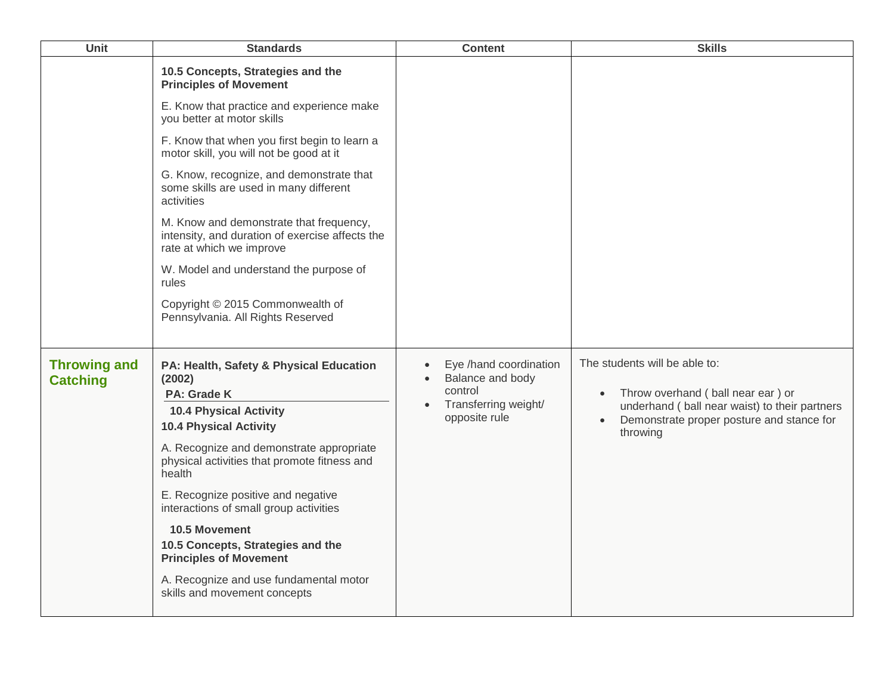| Unit                                   | <b>Standards</b>                                                                                                       | <b>Content</b>                                                                             | <b>Skills</b>                                                                               |
|----------------------------------------|------------------------------------------------------------------------------------------------------------------------|--------------------------------------------------------------------------------------------|---------------------------------------------------------------------------------------------|
|                                        | 10.5 Concepts, Strategies and the<br><b>Principles of Movement</b>                                                     |                                                                                            |                                                                                             |
|                                        | E. Know that practice and experience make<br>you better at motor skills                                                |                                                                                            |                                                                                             |
|                                        | F. Know that when you first begin to learn a<br>motor skill, you will not be good at it                                |                                                                                            |                                                                                             |
|                                        | G. Know, recognize, and demonstrate that<br>some skills are used in many different<br>activities                       |                                                                                            |                                                                                             |
|                                        | M. Know and demonstrate that frequency,<br>intensity, and duration of exercise affects the<br>rate at which we improve |                                                                                            |                                                                                             |
|                                        | W. Model and understand the purpose of<br>rules                                                                        |                                                                                            |                                                                                             |
|                                        | Copyright © 2015 Commonwealth of<br>Pennsylvania. All Rights Reserved                                                  |                                                                                            |                                                                                             |
| <b>Throwing and</b><br><b>Catching</b> | PA: Health, Safety & Physical Education<br>(2002)<br>PA: Grade K                                                       | Eye /hand coordination<br>Balance and body<br>$\bullet$<br>control<br>Transferring weight/ | The students will be able to:<br>Throw overhand (ball near ear) or<br>$\bullet$             |
|                                        | <b>10.4 Physical Activity</b><br><b>10.4 Physical Activity</b>                                                         | opposite rule                                                                              | underhand ( ball near waist) to their partners<br>Demonstrate proper posture and stance for |
|                                        | A. Recognize and demonstrate appropriate<br>physical activities that promote fitness and<br>health                     |                                                                                            | throwing                                                                                    |
|                                        | E. Recognize positive and negative<br>interactions of small group activities                                           |                                                                                            |                                                                                             |
|                                        | 10.5 Movement<br>10.5 Concepts, Strategies and the<br><b>Principles of Movement</b>                                    |                                                                                            |                                                                                             |
|                                        | A. Recognize and use fundamental motor<br>skills and movement concepts                                                 |                                                                                            |                                                                                             |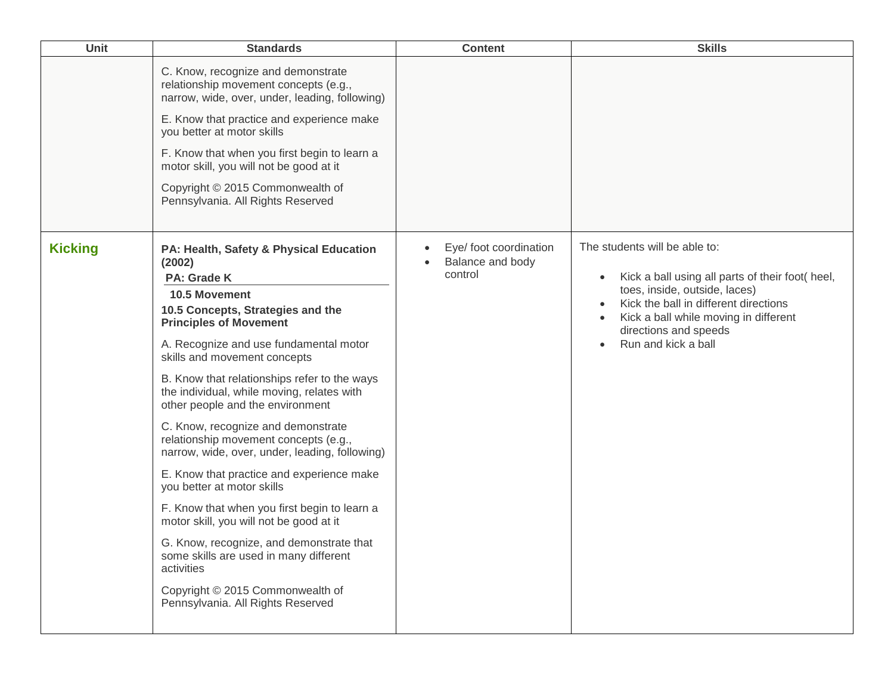| Unit           | <b>Standards</b>                                                                                                                                                                                                                                                                                                                                                                                                                                                                                                                                                                                                                                                                                                                                                                                                                                        | <b>Content</b>                                        | <b>Skills</b>                                                                                                                                                                                                                                        |
|----------------|---------------------------------------------------------------------------------------------------------------------------------------------------------------------------------------------------------------------------------------------------------------------------------------------------------------------------------------------------------------------------------------------------------------------------------------------------------------------------------------------------------------------------------------------------------------------------------------------------------------------------------------------------------------------------------------------------------------------------------------------------------------------------------------------------------------------------------------------------------|-------------------------------------------------------|------------------------------------------------------------------------------------------------------------------------------------------------------------------------------------------------------------------------------------------------------|
|                | C. Know, recognize and demonstrate<br>relationship movement concepts (e.g.,<br>narrow, wide, over, under, leading, following)<br>E. Know that practice and experience make<br>you better at motor skills<br>F. Know that when you first begin to learn a<br>motor skill, you will not be good at it<br>Copyright © 2015 Commonwealth of<br>Pennsylvania. All Rights Reserved                                                                                                                                                                                                                                                                                                                                                                                                                                                                            |                                                       |                                                                                                                                                                                                                                                      |
| <b>Kicking</b> | PA: Health, Safety & Physical Education<br>(2002)<br>PA: Grade K<br>10.5 Movement<br>10.5 Concepts, Strategies and the<br><b>Principles of Movement</b><br>A. Recognize and use fundamental motor<br>skills and movement concepts<br>B. Know that relationships refer to the ways<br>the individual, while moving, relates with<br>other people and the environment<br>C. Know, recognize and demonstrate<br>relationship movement concepts (e.g.,<br>narrow, wide, over, under, leading, following)<br>E. Know that practice and experience make<br>you better at motor skills<br>F. Know that when you first begin to learn a<br>motor skill, you will not be good at it<br>G. Know, recognize, and demonstrate that<br>some skills are used in many different<br>activities<br>Copyright © 2015 Commonwealth of<br>Pennsylvania. All Rights Reserved | Eye/ foot coordination<br>Balance and body<br>control | The students will be able to:<br>Kick a ball using all parts of their foot( heel,<br>toes, inside, outside, laces)<br>Kick the ball in different directions<br>Kick a ball while moving in different<br>directions and speeds<br>Run and kick a ball |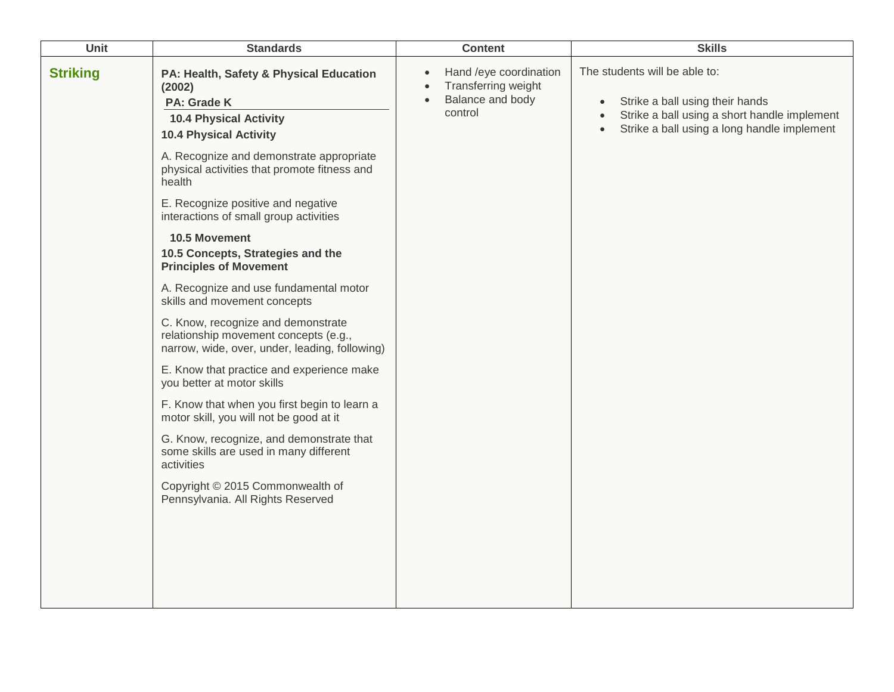| <b>Unit</b>     | <b>Standards</b>                                                                                                                                                                                                                                                                                                                                                                                                                                                                                                                                                                                                                                                                                                                                                                                                                                                                                                                                                              | <b>Content</b>                                                                                                      | <b>Skills</b>                                                                                                                                                                                          |
|-----------------|-------------------------------------------------------------------------------------------------------------------------------------------------------------------------------------------------------------------------------------------------------------------------------------------------------------------------------------------------------------------------------------------------------------------------------------------------------------------------------------------------------------------------------------------------------------------------------------------------------------------------------------------------------------------------------------------------------------------------------------------------------------------------------------------------------------------------------------------------------------------------------------------------------------------------------------------------------------------------------|---------------------------------------------------------------------------------------------------------------------|--------------------------------------------------------------------------------------------------------------------------------------------------------------------------------------------------------|
| <b>Striking</b> | PA: Health, Safety & Physical Education<br>(2002)<br>PA: Grade K<br><b>10.4 Physical Activity</b><br><b>10.4 Physical Activity</b><br>A. Recognize and demonstrate appropriate<br>physical activities that promote fitness and<br>health<br>E. Recognize positive and negative<br>interactions of small group activities<br>10.5 Movement<br>10.5 Concepts, Strategies and the<br><b>Principles of Movement</b><br>A. Recognize and use fundamental motor<br>skills and movement concepts<br>C. Know, recognize and demonstrate<br>relationship movement concepts (e.g.,<br>narrow, wide, over, under, leading, following)<br>E. Know that practice and experience make<br>you better at motor skills<br>F. Know that when you first begin to learn a<br>motor skill, you will not be good at it<br>G. Know, recognize, and demonstrate that<br>some skills are used in many different<br>activities<br>Copyright © 2015 Commonwealth of<br>Pennsylvania. All Rights Reserved | Hand /eye coordination<br>$\bullet$<br>Transferring weight<br>$\bullet$<br>Balance and body<br>$\bullet$<br>control | The students will be able to:<br>Strike a ball using their hands<br>$\bullet$<br>Strike a ball using a short handle implement<br>$\bullet$<br>Strike a ball using a long handle implement<br>$\bullet$ |
|                 |                                                                                                                                                                                                                                                                                                                                                                                                                                                                                                                                                                                                                                                                                                                                                                                                                                                                                                                                                                               |                                                                                                                     |                                                                                                                                                                                                        |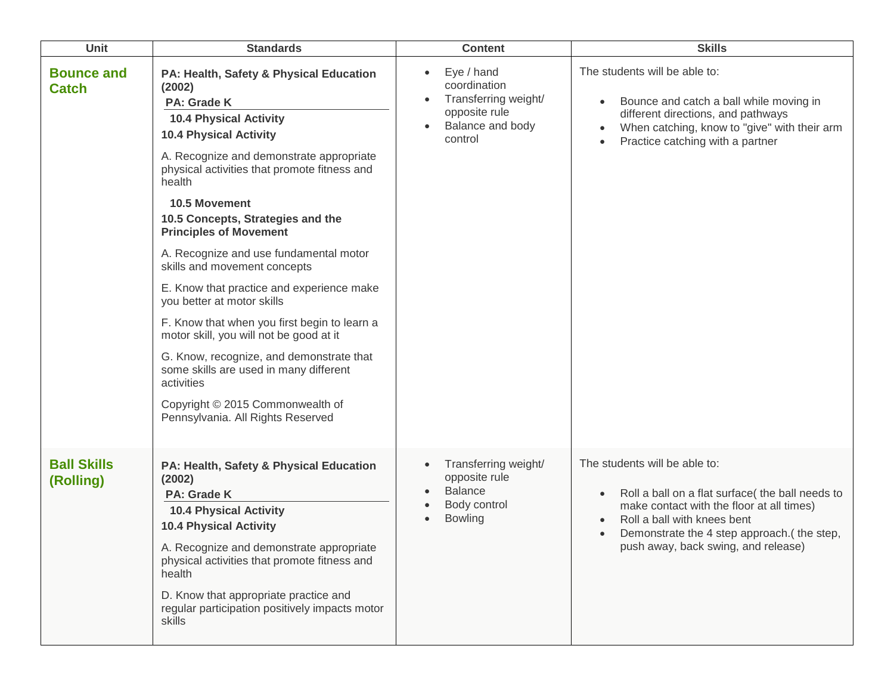| <b>Unit</b>                       | <b>Standards</b>                                                                                                                                                                                                                                                                                                                                                                                                                                                                                                                                                                                                                                                                                                                                             | <b>Content</b>                                                                                                               | <b>Skills</b>                                                                                                                                                                                                                                      |
|-----------------------------------|--------------------------------------------------------------------------------------------------------------------------------------------------------------------------------------------------------------------------------------------------------------------------------------------------------------------------------------------------------------------------------------------------------------------------------------------------------------------------------------------------------------------------------------------------------------------------------------------------------------------------------------------------------------------------------------------------------------------------------------------------------------|------------------------------------------------------------------------------------------------------------------------------|----------------------------------------------------------------------------------------------------------------------------------------------------------------------------------------------------------------------------------------------------|
| <b>Bounce and</b><br><b>Catch</b> | PA: Health, Safety & Physical Education<br>(2002)<br>PA: Grade K<br><b>10.4 Physical Activity</b><br><b>10.4 Physical Activity</b><br>A. Recognize and demonstrate appropriate<br>physical activities that promote fitness and<br>health<br>10.5 Movement<br>10.5 Concepts, Strategies and the<br><b>Principles of Movement</b><br>A. Recognize and use fundamental motor<br>skills and movement concepts<br>E. Know that practice and experience make<br>you better at motor skills<br>F. Know that when you first begin to learn a<br>motor skill, you will not be good at it<br>G. Know, recognize, and demonstrate that<br>some skills are used in many different<br>activities<br>Copyright © 2015 Commonwealth of<br>Pennsylvania. All Rights Reserved | Eye / hand<br>$\bullet$<br>coordination<br>Transferring weight/<br>$\bullet$<br>opposite rule<br>Balance and body<br>control | The students will be able to:<br>Bounce and catch a ball while moving in<br>different directions, and pathways<br>When catching, know to "give" with their arm<br>$\bullet$<br>Practice catching with a partner                                    |
| <b>Ball Skills</b><br>(Rolling)   | PA: Health, Safety & Physical Education<br>(2002)<br><b>PA: Grade K</b><br><b>10.4 Physical Activity</b><br><b>10.4 Physical Activity</b><br>A. Recognize and demonstrate appropriate<br>physical activities that promote fitness and<br>health<br>D. Know that appropriate practice and<br>regular participation positively impacts motor<br>skills                                                                                                                                                                                                                                                                                                                                                                                                         | Transferring weight/<br>$\bullet$<br>opposite rule<br><b>Balance</b><br>$\bullet$<br>Body control<br><b>Bowling</b>          | The students will be able to:<br>Roll a ball on a flat surface( the ball needs to<br>make contact with the floor at all times)<br>Roll a ball with knees bent<br>Demonstrate the 4 step approach.(the step,<br>push away, back swing, and release) |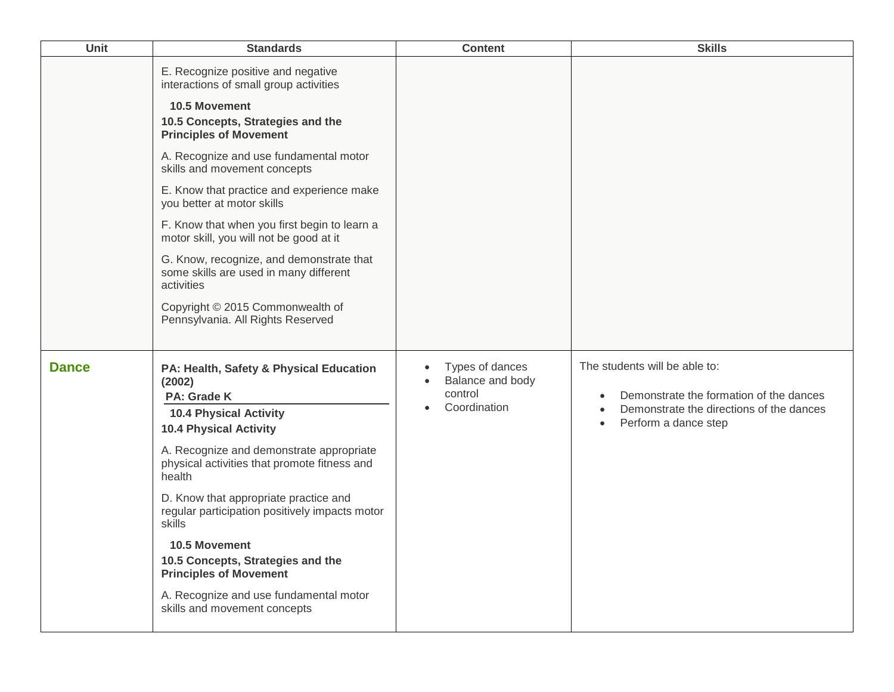| Unit         | <b>Standards</b>                                                                                                                                                                                                                                                                                                                                                                                                                                                                                                                                                                                 | <b>Content</b>                                                                           | <b>Skills</b>                                                                                                                                             |
|--------------|--------------------------------------------------------------------------------------------------------------------------------------------------------------------------------------------------------------------------------------------------------------------------------------------------------------------------------------------------------------------------------------------------------------------------------------------------------------------------------------------------------------------------------------------------------------------------------------------------|------------------------------------------------------------------------------------------|-----------------------------------------------------------------------------------------------------------------------------------------------------------|
|              | E. Recognize positive and negative<br>interactions of small group activities<br>10.5 Movement<br>10.5 Concepts, Strategies and the<br><b>Principles of Movement</b><br>A. Recognize and use fundamental motor<br>skills and movement concepts<br>E. Know that practice and experience make<br>you better at motor skills<br>F. Know that when you first begin to learn a<br>motor skill, you will not be good at it<br>G. Know, recognize, and demonstrate that<br>some skills are used in many different<br>activities<br>Copyright © 2015 Commonwealth of<br>Pennsylvania. All Rights Reserved |                                                                                          |                                                                                                                                                           |
| <b>Dance</b> | PA: Health, Safety & Physical Education<br>(2002)<br>PA: Grade K<br><b>10.4 Physical Activity</b><br><b>10.4 Physical Activity</b><br>A. Recognize and demonstrate appropriate<br>physical activities that promote fitness and<br>health<br>D. Know that appropriate practice and<br>regular participation positively impacts motor<br>skills<br>10.5 Movement<br>10.5 Concepts, Strategies and the<br><b>Principles of Movement</b><br>A. Recognize and use fundamental motor<br>skills and movement concepts                                                                                   | Types of dances<br>$\bullet$<br>Balance and body<br>control<br>Coordination<br>$\bullet$ | The students will be able to:<br>Demonstrate the formation of the dances<br>Demonstrate the directions of the dances<br>Perform a dance step<br>$\bullet$ |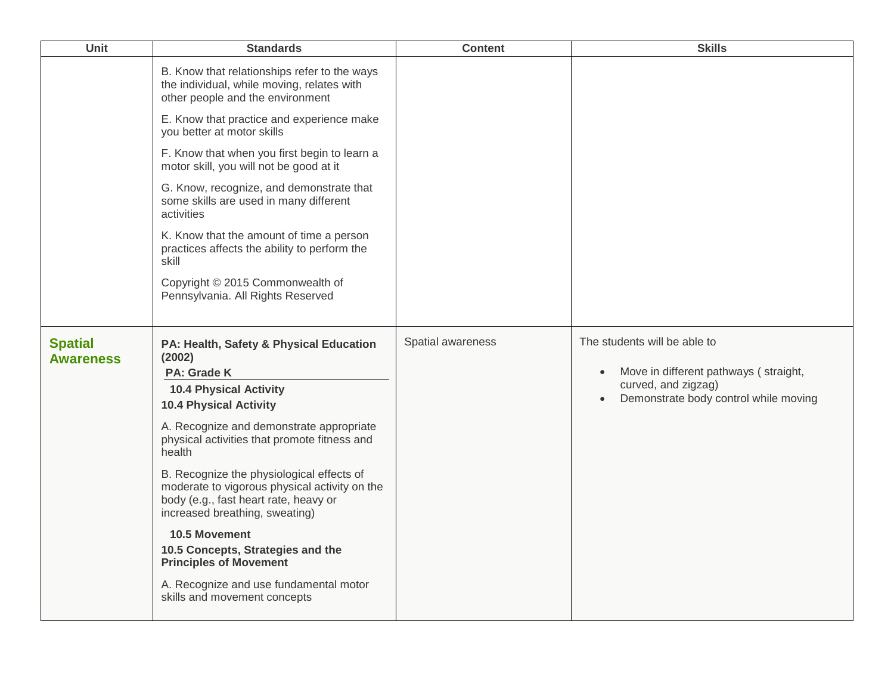| Unit                               | <b>Standards</b>                                                                                                                                                      | <b>Content</b>    | <b>Skills</b>                                                |
|------------------------------------|-----------------------------------------------------------------------------------------------------------------------------------------------------------------------|-------------------|--------------------------------------------------------------|
|                                    | B. Know that relationships refer to the ways<br>the individual, while moving, relates with<br>other people and the environment                                        |                   |                                                              |
|                                    | E. Know that practice and experience make<br>you better at motor skills                                                                                               |                   |                                                              |
|                                    | F. Know that when you first begin to learn a<br>motor skill, you will not be good at it                                                                               |                   |                                                              |
|                                    | G. Know, recognize, and demonstrate that<br>some skills are used in many different<br>activities                                                                      |                   |                                                              |
|                                    | K. Know that the amount of time a person<br>practices affects the ability to perform the<br>skill                                                                     |                   |                                                              |
|                                    | Copyright © 2015 Commonwealth of<br>Pennsylvania. All Rights Reserved                                                                                                 |                   |                                                              |
| <b>Spatial</b><br><b>Awareness</b> | PA: Health, Safety & Physical Education<br>(2002)                                                                                                                     | Spatial awareness | The students will be able to                                 |
|                                    | PA: Grade K                                                                                                                                                           |                   | Move in different pathways (straight,<br>curved, and zigzag) |
|                                    | <b>10.4 Physical Activity</b><br><b>10.4 Physical Activity</b>                                                                                                        |                   | Demonstrate body control while moving                        |
|                                    | A. Recognize and demonstrate appropriate<br>physical activities that promote fitness and<br>health                                                                    |                   |                                                              |
|                                    | B. Recognize the physiological effects of<br>moderate to vigorous physical activity on the<br>body (e.g., fast heart rate, heavy or<br>increased breathing, sweating) |                   |                                                              |
|                                    | 10.5 Movement<br>10.5 Concepts, Strategies and the<br><b>Principles of Movement</b>                                                                                   |                   |                                                              |
|                                    | A. Recognize and use fundamental motor<br>skills and movement concepts                                                                                                |                   |                                                              |
|                                    |                                                                                                                                                                       |                   |                                                              |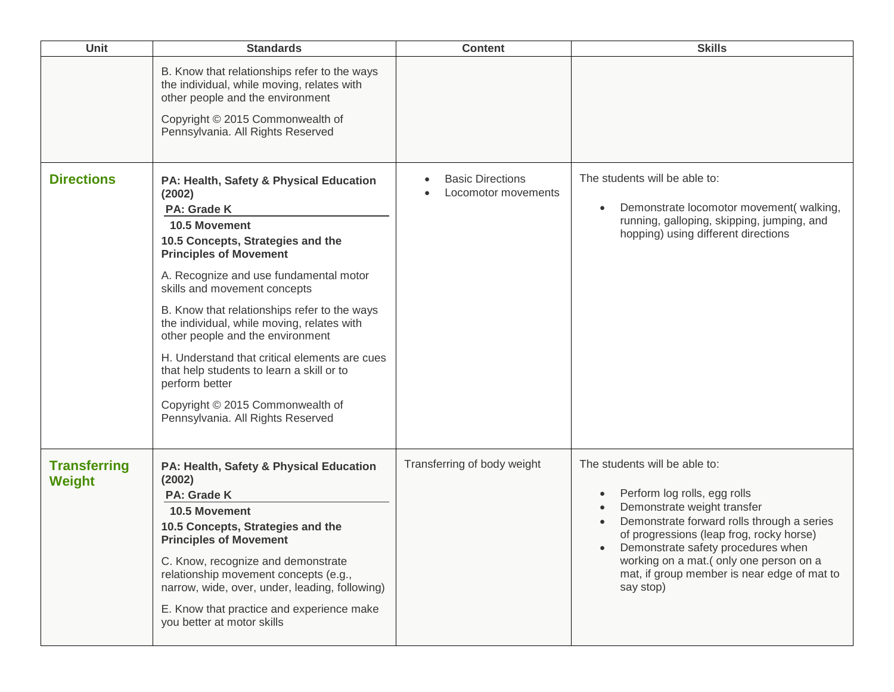| Unit                                 | <b>Standards</b>                                                                                                                                                                                                                                                                                                                                                                                                                                                                                                                                                    | <b>Content</b>                                 | <b>Skills</b>                                                                                                                                                                                                                                                                                                                      |
|--------------------------------------|---------------------------------------------------------------------------------------------------------------------------------------------------------------------------------------------------------------------------------------------------------------------------------------------------------------------------------------------------------------------------------------------------------------------------------------------------------------------------------------------------------------------------------------------------------------------|------------------------------------------------|------------------------------------------------------------------------------------------------------------------------------------------------------------------------------------------------------------------------------------------------------------------------------------------------------------------------------------|
|                                      | B. Know that relationships refer to the ways<br>the individual, while moving, relates with<br>other people and the environment<br>Copyright © 2015 Commonwealth of<br>Pennsylvania. All Rights Reserved                                                                                                                                                                                                                                                                                                                                                             |                                                |                                                                                                                                                                                                                                                                                                                                    |
| <b>Directions</b>                    | PA: Health, Safety & Physical Education<br>(2002)<br><b>PA: Grade K</b><br>10.5 Movement<br>10.5 Concepts, Strategies and the<br><b>Principles of Movement</b><br>A. Recognize and use fundamental motor<br>skills and movement concepts<br>B. Know that relationships refer to the ways<br>the individual, while moving, relates with<br>other people and the environment<br>H. Understand that critical elements are cues<br>that help students to learn a skill or to<br>perform better<br>Copyright © 2015 Commonwealth of<br>Pennsylvania. All Rights Reserved | <b>Basic Directions</b><br>Locomotor movements | The students will be able to:<br>Demonstrate locomotor movement(walking,<br>running, galloping, skipping, jumping, and<br>hopping) using different directions                                                                                                                                                                      |
| <b>Transferring</b><br><b>Weight</b> | PA: Health, Safety & Physical Education<br>(2002)<br><b>PA: Grade K</b><br><b>10.5 Movement</b><br>10.5 Concepts, Strategies and the<br><b>Principles of Movement</b><br>C. Know, recognize and demonstrate<br>relationship movement concepts (e.g.,<br>narrow, wide, over, under, leading, following)<br>E. Know that practice and experience make<br>you better at motor skills                                                                                                                                                                                   | Transferring of body weight                    | The students will be able to:<br>Perform log rolls, egg rolls<br>Demonstrate weight transfer<br>Demonstrate forward rolls through a series<br>of progressions (leap frog, rocky horse)<br>Demonstrate safety procedures when<br>working on a mat.(only one person on a<br>mat, if group member is near edge of mat to<br>say stop) |